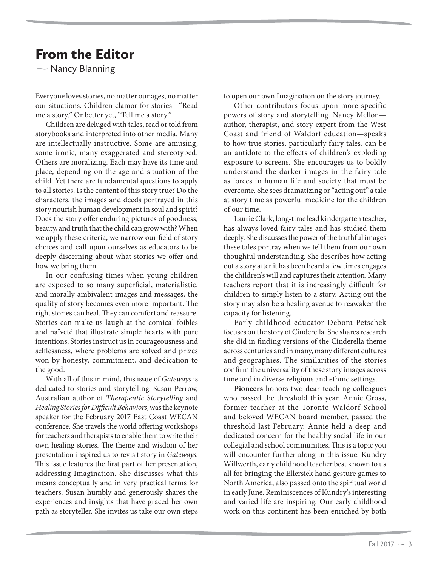## From the Editor

 $\overline{\phantom{0}}$ Nancy Blanning

Everyone loves stories, no matter our ages, no matter our situations. Children clamor for stories—"Read me a story." Or better yet, "Tell me a story."

Children are deluged with tales, read or told from storybooks and interpreted into other media. Many are intellectually instructive. Some are amusing, some ironic, many exaggerated and stereotyped. Others are moralizing. Each may have its time and place, depending on the age and situation of the child. Yet there are fundamental questions to apply to all stories. Is the content of this story true? Do the characters, the images and deeds portrayed in this story nourish human development in soul and spirit? Does the story offer enduring pictures of goodness, beauty, and truth that the child can grow with? When we apply these criteria, we narrow our field of story choices and call upon ourselves as educators to be deeply discerning about what stories we offer and how we bring them.

In our confusing times when young children are exposed to so many superficial, materialistic, and morally ambivalent images and messages, the quality of story becomes even more important. The right stories can heal. They can comfort and reassure. Stories can make us laugh at the comical foibles and naïveté that illustrate simple hearts with pure intentions. Stories instruct us in courageousness and selflessness, where problems are solved and prizes won by honesty, commitment, and dedication to the good.

With all of this in mind, this issue of *Gateways* is dedicated to stories and storytelling. Susan Perrow, Australian author of *Therapeutic Storytelling* and *Healing Stories for Difficult Behaviors*, was the keynote speaker for the February 2017 East Coast WECAN conference. She travels the world offering workshops for teachers and therapists to enable them to write their own healing stories. The theme and wisdom of her presentation inspired us to revisit story in *Gateways*. This issue features the first part of her presentation, addressing Imagination. She discusses what this means conceptually and in very practical terms for teachers. Susan humbly and generously shares the experiences and insights that have graced her own path as storyteller. She invites us take our own steps

to open our own Imagination on the story journey.

Other contributors focus upon more specific powers of story and storytelling. Nancy Mellon author, therapist, and story expert from the West Coast and friend of Waldorf education—speaks to how true stories, particularly fairy tales, can be an antidote to the effects of children's exploding exposure to screens. She encourages us to boldly understand the darker images in the fairy tale as forces in human life and society that must be overcome. She sees dramatizing or "acting out" a tale at story time as powerful medicine for the children of our time.

Laurie Clark, long-time lead kindergarten teacher, has always loved fairy tales and has studied them deeply. She discusses the power of the truthful images these tales portray when we tell them from our own thoughtul understanding. She describes how acting out a story after it has been heard a few times engages the children's will and captures their attention. Many teachers report that it is increasingly difficult for children to simply listen to a story. Acting out the story may also be a healing avenue to reawaken the capacity for listening.

Early childhood educator Debora Petschek focuses on the story of Cinderella. She shares research she did in finding versions of the Cinderella theme across centuries and in many, many different cultures and geographies. The similarities of the stories confirm the universality of these story images across time and in diverse religious and ethnic settings.

**Pioneers** honors two dear teaching colleagues who passed the threshold this year. Annie Gross, former teacher at the Toronto Waldorf School and beloved WECAN board member, passed the threshold last February. Annie held a deep and dedicated concern for the healthy social life in our collegial and school communities. This is a topic you will encounter further along in this issue. Kundry Willwerth, early childhood teacher best known to us all for bringing the Ellersiek hand gesture games to North America, also passed onto the spiritual world in early June. Reminiscences of Kundry's interesting and varied life are inspiring. Our early childhood work on this continent has been enriched by both